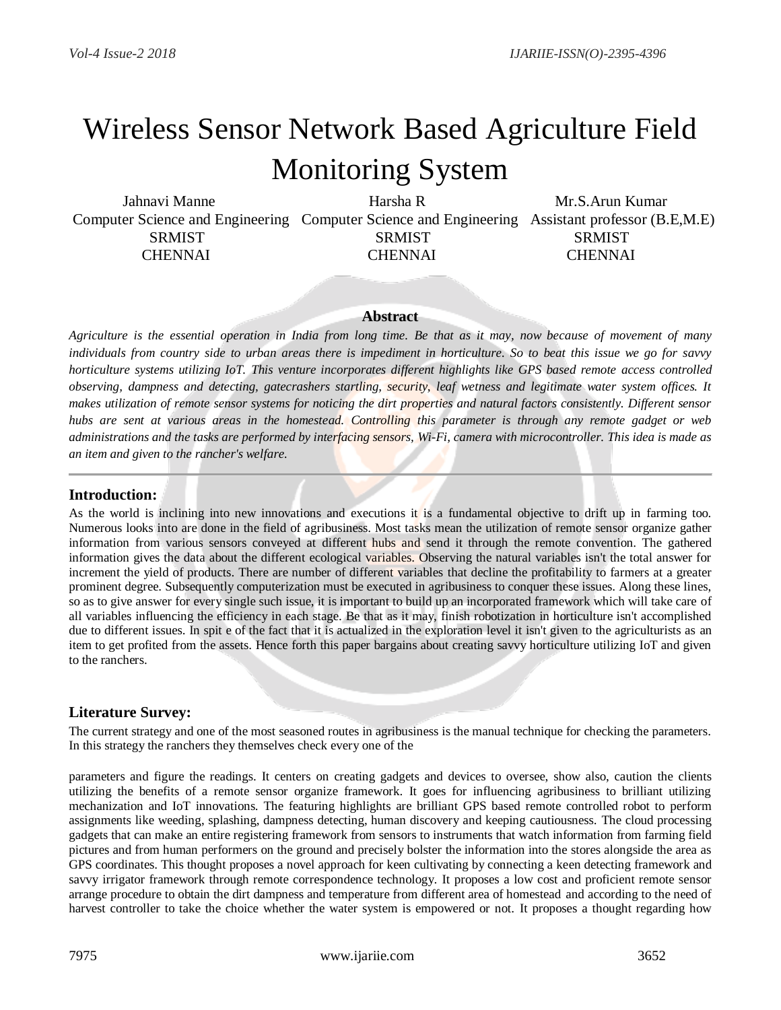# Wireless Sensor Network Based Agriculture Field

# Monitoring System

Jahnavi Manne **Harsha R** Mr.S.Arun Kumar Computer Science and Engineering Computer Science and Engineering Assistant professor (B.E,M.E) SRMIST SRMIST SRMIST SRMIST CHENNAI CHENNAI CHENNAI

#### **Abstract**

*Agriculture is the essential operation in India from long time. Be that as it may, now because of movement of many individuals from country side to urban areas there is impediment in horticulture. So to beat this issue we go for savvy horticulture systems utilizing IoT. This venture incorporates different highlights like GPS based remote access controlled observing, dampness and detecting, gatecrashers startling, security, leaf wetness and legitimate water system offices. It makes utilization of remote sensor systems for noticing the dirt properties and natural factors consistently. Different sensor hubs are sent at various areas in the homestead. Controlling this parameter is through any remote gadget or web administrations and the tasks are performed by interfacing sensors, Wi-Fi, camera with microcontroller. This idea is made as an item and given to the rancher's welfare.*

# **Introduction:**

As the world is inclining into new innovations and executions it is a fundamental objective to drift up in farming too. Numerous looks into are done in the field of agribusiness. Most tasks mean the utilization of remote sensor organize gather information from various sensors conveyed at different hubs and send it through the remote convention. The gathered information gives the data about the different ecological variables. Observing the natural variables isn't the total answer for increment the yield of products. There are number of different variables that decline the profitability to farmers at a greater prominent degree. Subsequently computerization must be executed in agribusiness to conquer these issues. Along these lines, so as to give answer for every single such issue, it is important to build up an incorporated framework which will take care of all variables influencing the efficiency in each stage. Be that as it may, finish robotization in horticulture isn't accomplished due to different issues. In spit e of the fact that it is actualized in the exploration level it isn't given to the agriculturists as an item to get profited from the assets. Hence forth this paper bargains about creating savvy horticulture utilizing IoT and given to the ranchers.

# **Literature Survey:**

The current strategy and one of the most seasoned routes in agribusiness is the manual technique for checking the parameters. In this strategy the ranchers they themselves check every one of the

parameters and figure the readings. It centers on creating gadgets and devices to oversee, show also, caution the clients utilizing the benefits of a remote sensor organize framework. It goes for influencing agribusiness to brilliant utilizing mechanization and IoT innovations. The featuring highlights are brilliant GPS based remote controlled robot to perform assignments like weeding, splashing, dampness detecting, human discovery and keeping cautiousness. The cloud processing gadgets that can make an entire registering framework from sensors to instruments that watch information from farming field pictures and from human performers on the ground and precisely bolster the information into the stores alongside the area as GPS coordinates. This thought proposes a novel approach for keen cultivating by connecting a keen detecting framework and savvy irrigator framework through remote correspondence technology. It proposes a low cost and proficient remote sensor arrange procedure to obtain the dirt dampness and temperature from different area of homestead and according to the need of harvest controller to take the choice whether the water system is empowered or not. It proposes a thought regarding how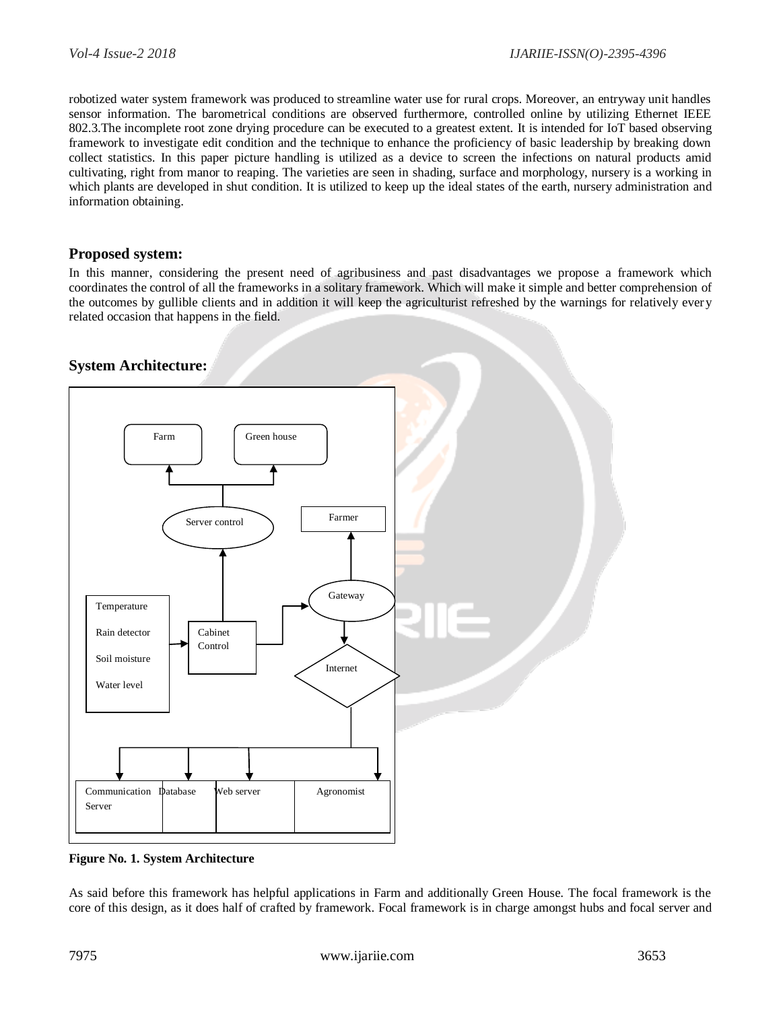robotized water system framework was produced to streamline water use for rural crops. Moreover, an entryway unit handles sensor information. The barometrical conditions are observed furthermore, controlled online by utilizing Ethernet IEEE 802.3.The incomplete root zone drying procedure can be executed to a greatest extent. It is intended for IoT based observing framework to investigate edit condition and the technique to enhance the proficiency of basic leadership by breaking down collect statistics. In this paper picture handling is utilized as a device to screen the infections on natural products amid cultivating, right from manor to reaping. The varieties are seen in shading, surface and morphology, nursery is a working in which plants are developed in shut condition. It is utilized to keep up the ideal states of the earth, nursery administration and information obtaining.

#### **Proposed system:**

In this manner, considering the present need of agribusiness and past disadvantages we propose a framework which coordinates the control of all the frameworks in a solitary framework. Which will make it simple and better comprehension of the outcomes by gullible clients and in addition it will keep the agriculturist refreshed by the warnings for relatively every related occasion that happens in the field.

# **System Architecture:**



**Figure No. 1. System Architecture**

As said before this framework has helpful applications in Farm and additionally Green House. The focal framework is the core of this design, as it does half of crafted by framework. Focal framework is in charge amongst hubs and focal server and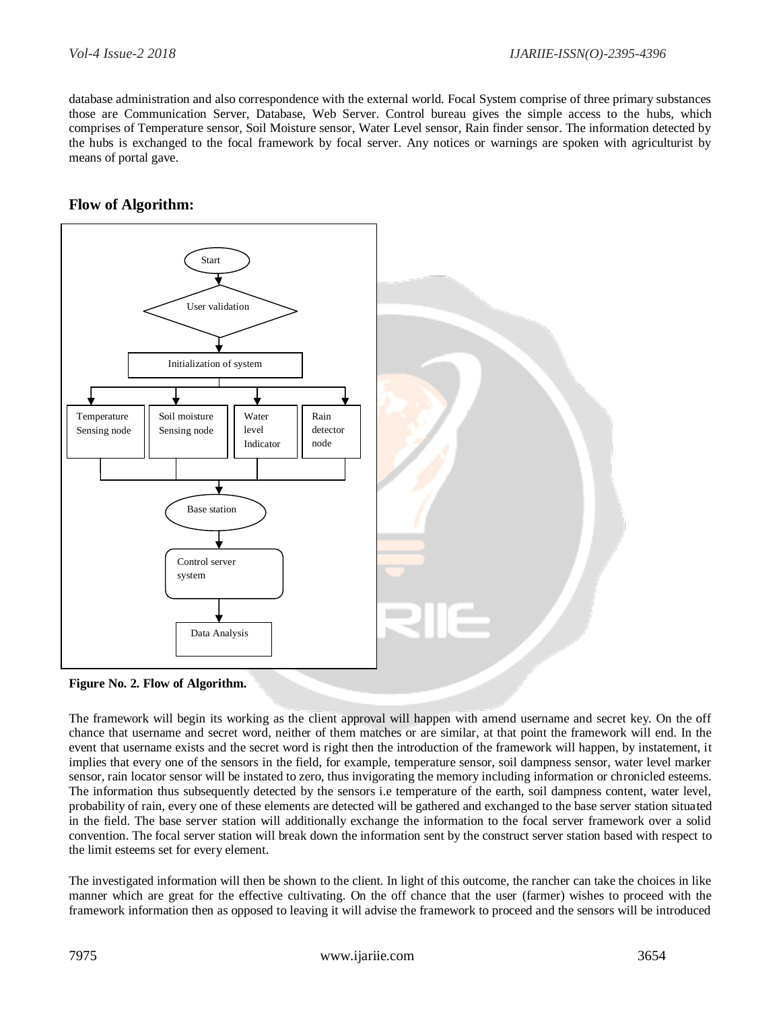database administration and also correspondence with the external world. Focal System comprise of three primary substances those are Communication Server, Database, Web Server. Control bureau gives the simple access to the hubs, which comprises of Temperature sensor, Soil Moisture sensor, Water Level sensor, Rain finder sensor. The information detected by the hubs is exchanged to the focal framework by focal server. Any notices or warnings are spoken with agriculturist by means of portal gave.

# **Flow of Algorithm:**





The framework will begin its working as the client approval will happen with amend username and secret key. On the off chance that username and secret word, neither of them matches or are similar, at that point the framework will end. In the event that username exists and the secret word is right then the introduction of the framework will happen, by instatement, it implies that every one of the sensors in the field, for example, temperature sensor, soil dampness sensor, water level marker sensor, rain locator sensor will be instated to zero, thus invigorating the memory including information or chronicled esteems. The information thus subsequently detected by the sensors i.e temperature of the earth, soil dampness content, water level, probability of rain, every one of these elements are detected will be gathered and exchanged to the base server station situated in the field. The base server station will additionally exchange the information to the focal server framework over a solid convention. The focal server station will break down the information sent by the construct server station based with respect to the limit esteems set for every element.

The investigated information will then be shown to the client. In light of this outcome, the rancher can take the choices in like manner which are great for the effective cultivating. On the off chance that the user (farmer) wishes to proceed with the framework information then as opposed to leaving it will advise the framework to proceed and the sensors will be introduced